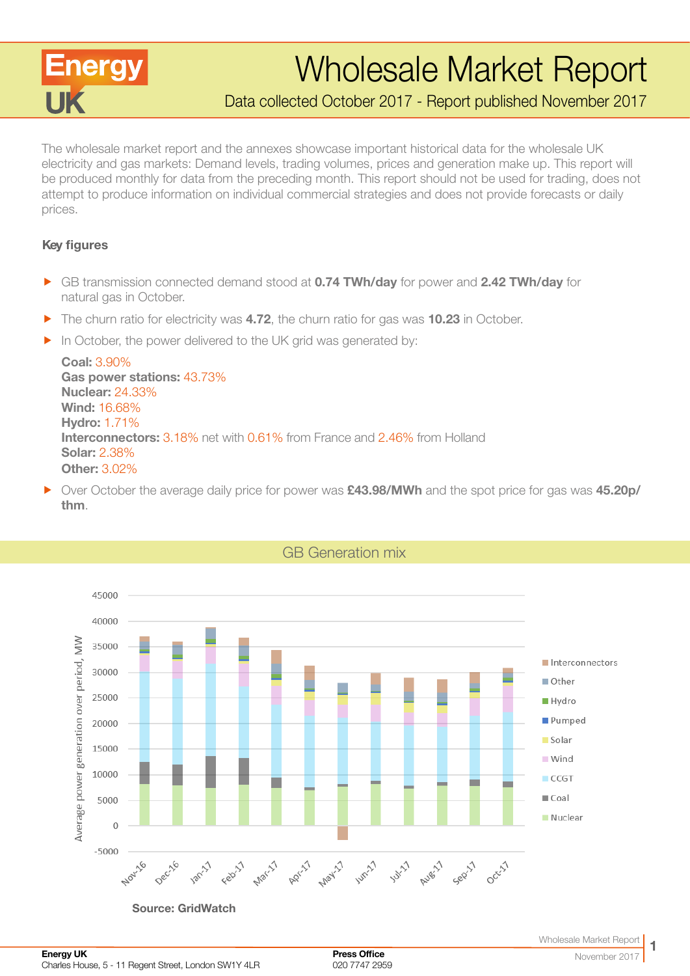

# Wholesale Market Report

Data collected October 2017 - Report published November 2017

The wholesale market report and the annexes showcase important historical data for the wholesale UK electricity and gas markets: Demand levels, trading volumes, prices and generation make up. This report will be produced monthly for data from the preceding month. This report should not be used for trading, does not attempt to produce information on individual commercial strategies and does not provide forecasts or daily prices.

#### Key figures

- **F** GB transmission connected demand stood at **0.74 TWh/day** for power and **2.42 TWh/day** for natural gas in October.
- $\blacktriangleright$  The churn ratio for electricity was 4.72, the churn ratio for gas was 10.23 in October.
- $\blacktriangleright$  In October, the power delivered to the UK grid was generated by:

Coal: 3.90% Gas power stations: 43.73% Nuclear: 24.33% Wind: 16.68% Hydro: 1.71% Interconnectors: 3.18% net with 0.61% from France and 2.46% from Holland Solar: 2.38% Other: 3.02%

F Over October the average daily price for power was **£43.98/MWh** and the spot price for gas was 45.20p/ thm.

GB Generation mix



Source: GridWatch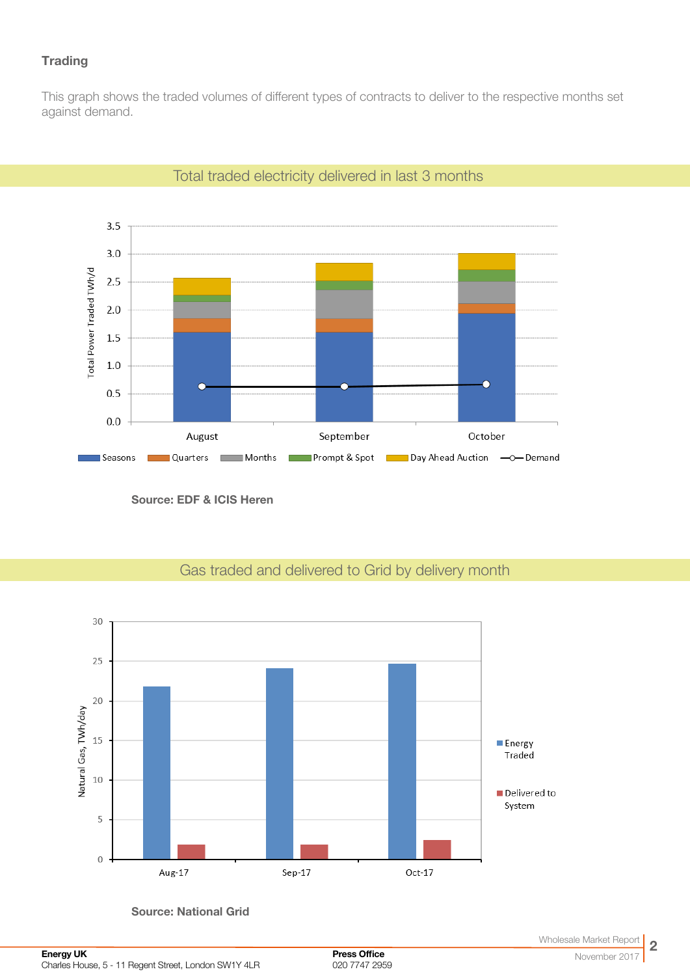## **Trading**

This graph shows the traded volumes of different types of contracts to deliver to the respective months set against demand.



Total traded electricity delivered in last 3 months

Source: EDF & ICIS Heren



## Gas traded and delivered to Grid by delivery month

Source: National Grid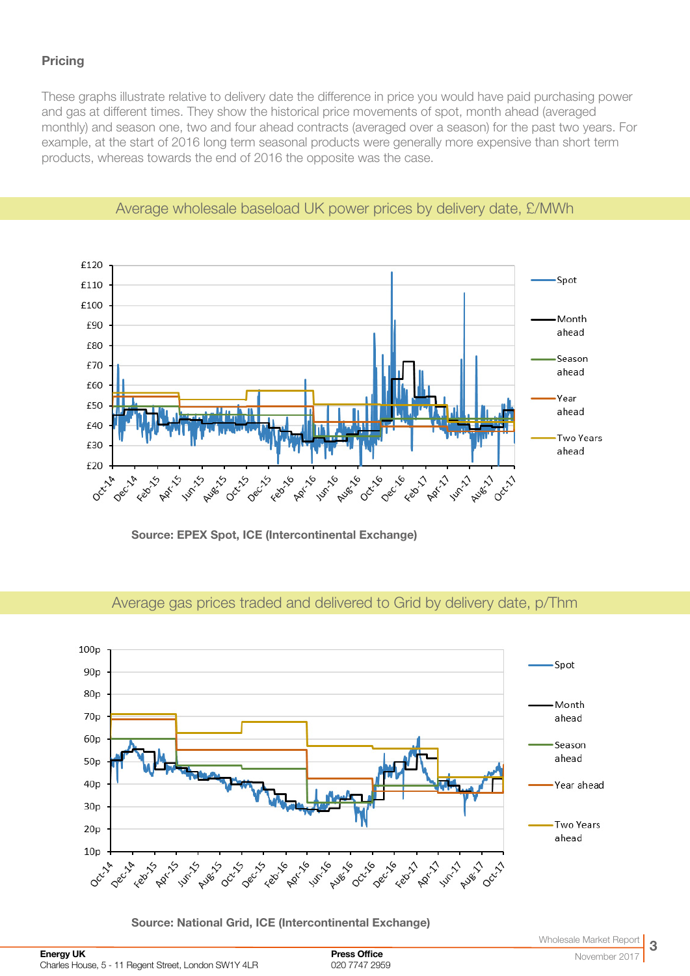## **Pricing**

These graphs illustrate relative to delivery date the difference in price you would have paid purchasing power and gas at different times. They show the historical price movements of spot, month ahead (averaged monthly) and season one, two and four ahead contracts (averaged over a season) for the past two years. For example, at the start of 2016 long term seasonal products were generally more expensive than short term products, whereas towards the end of 2016 the opposite was the case.



Average wholesale baseload UK power prices by delivery date, £/MWh

Source: EPEX Spot, ICE (Intercontinental Exchange)



Average gas prices traded and delivered to Grid by delivery date, p/Thm

Source: National Grid, ICE (Intercontinental Exchange)

Press Office 020 7747 2959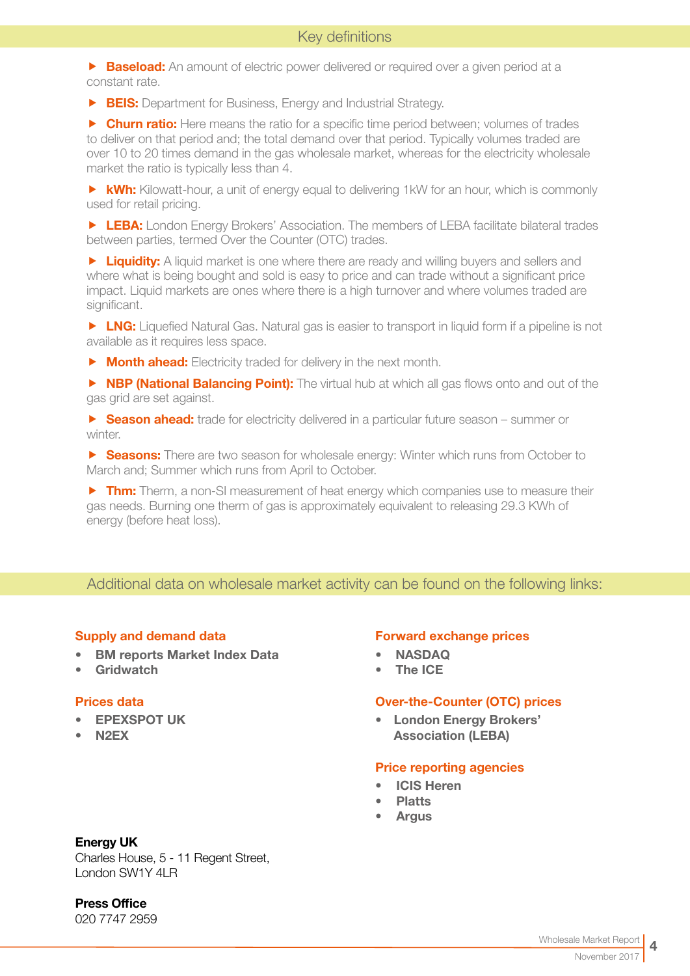**Baseload:** An amount of electric power delivered or required over a given period at a constant rate.

**FIS:** Department for Business, Energy and Industrial Strategy.

**F** Churn ratio: Here means the ratio for a specific time period between; volumes of trades to deliver on that period and; the total demand over that period. Typically volumes traded are over 10 to 20 times demand in the gas wholesale market, whereas for the electricity wholesale market the ratio is typically less than 4.

 $\triangleright$  **kWh:** Kilowatt-hour, a unit of energy equal to delivering 1kW for an hour, which is commonly used for retail pricing.

**F LEBA:** London Energy Brokers' Association. The members of LEBA facilitate bilateral trades between parties, termed Over the Counter (OTC) trades.

**F** Liquidity: A liquid market is one where there are ready and willing buyers and sellers and where what is being bought and sold is easy to price and can trade without a significant price impact. Liquid markets are ones where there is a high turnover and where volumes traded are significant.

**F LNG:** Liquefied Natural Gas. Natural gas is easier to transport in liquid form if a pipeline is not available as it requires less space.

 $\triangleright$  **Month ahead:** Electricity traded for delivery in the next month.

**F NBP (National Balancing Point):** The virtual hub at which all gas flows onto and out of the gas grid are set against.

**F** Season ahead: trade for electricity delivered in a particular future season – summer or winter.

**F** Seasons: There are two season for wholesale energy: Winter which runs from October to March and; Summer which runs from April to October.

 $\triangleright$  Thm: Therm, a non-SI measurement of heat energy which companies use to measure their gas needs. Burning one therm of gas is approximately equivalent to releasing 29.3 KWh of energy (before heat loss).

#### Additional data on wholesale market activity can be found on the following links:

#### Supply and demand data

- [BM reports Market Index Data](http://www.bmreports.com/bwh_Mid.html
)
- [Gridwatch](http://www.gridwatch.templar.co.uk/index.php )

#### Prices data

- [EPEXSPOT UK](http://www.epexspot.com/en/)
- [N2EX](http://www.n2ex.com/marketdata )

#### Forward exchange prices

- [NASDAQ](http://www.nasdaqomx.com/commodities/markets/marketprices )
- [The ICE](http://www.theice.com/marketdata/reports/ReportCenter.shtml#report/10 )

#### Over-the-Counter (OTC) prices

• [London Energy Brokers'](http://www.leba.org.uk/pages/index.cfm?page_id=41&title=uk_power_prompt )  [Association \(LEBA\)](http://www.leba.org.uk/pages/index.cfm?page_id=41&title=uk_power_prompt )

#### Price reporting agencies

- [ICIS Heren](http://www.icis.com/heren)
- **[Platts](http://www.platts.com)**
- **[Argus](http://www.argusmedia.com/Power)**

#### Energy UK

Charles House, 5 - 11 Regent Street, London SW1Y 4LR

Press Office

020 7747 2959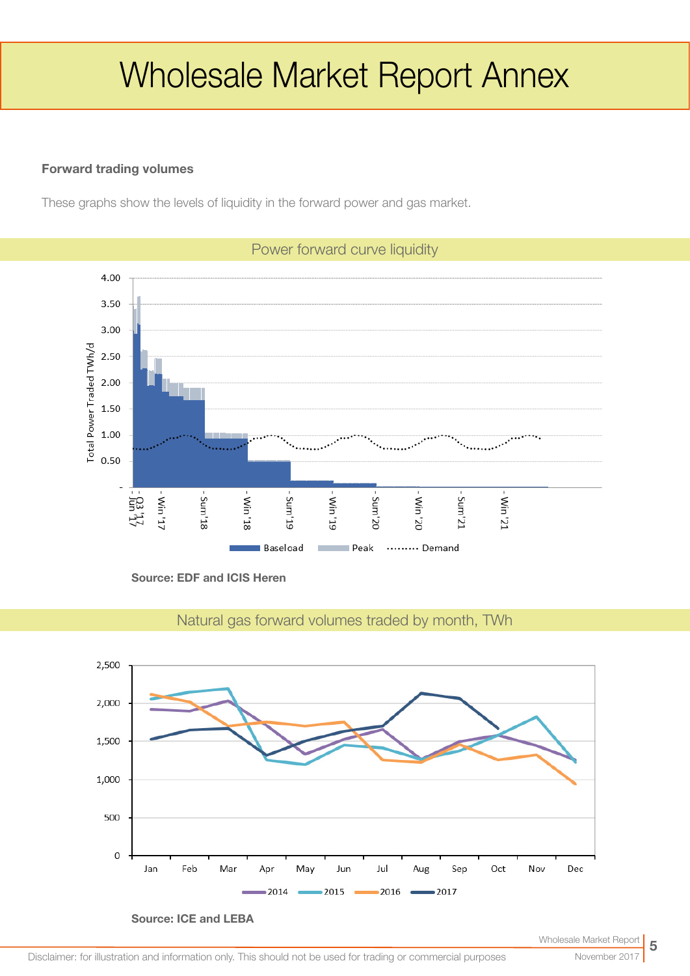# Wholesale Market Report Annex

#### Forward trading volumes

These graphs show the levels of liquidity in the forward power and gas market.



Source: EDF and ICIS Heren



Natural gas forward volumes traded by month, TWh

Source: ICE and LEBA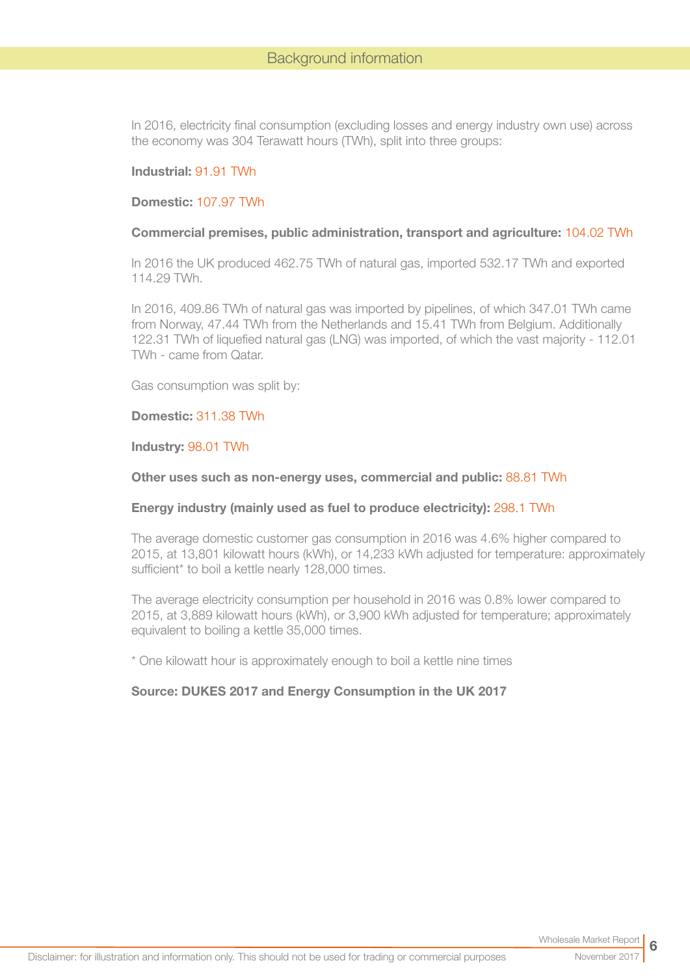In 2016, electricity final consumption (excluding losses and energy industry own use) across the economy was 304 Terawatt hours (TWh), split into three groups:

#### Industrial: 91.91 TWh

#### Domestic: 107.97 TWh

#### Commercial premises, public administration, transport and agriculture: 104.02 TWh

In 2016 the UK produced 462.75 TWh of natural gas, imported 532.17 TWh and exported 114.29 TWh.

In 2016, 409.86 TWh of natural gas was imported by pipelines, of which 347.01 TWh came from Norway, 47.44 TWh from the Netherlands and 15.41 TWh from Belgium. Additionally 122.31 TWh of liquefied natural gas (LNG) was imported, of which the vast majority - 112.01 TWh - came from Qatar.

Gas consumption was split by:

#### Domestic: 311.38 TWh

Industry: 98.01 TWh

#### Other uses such as non-energy uses, commercial and public: 88.81 TWh

#### Energy industry (mainly used as fuel to produce electricity): 298.1 TWh

The average domestic customer gas consumption in 2016 was 4.6% higher compared to 2015, at 13,801 kilowatt hours (kWh), or 14,233 kWh adjusted for temperature: approximately sufficient\* to boil a kettle nearly 128,000 times.

The average electricity consumption per household in 2016 was 0.8% lower compared to 2015, at 3,889 kilowatt hours (kWh), or 3,900 kWh adjusted for temperature; approximately equivalent to boiling a kettle 35,000 times.

\* One kilowatt hour is approximately enough to boil a kettle nine times

#### Source: DUKES 2017 and Energy Consumption in the UK 2017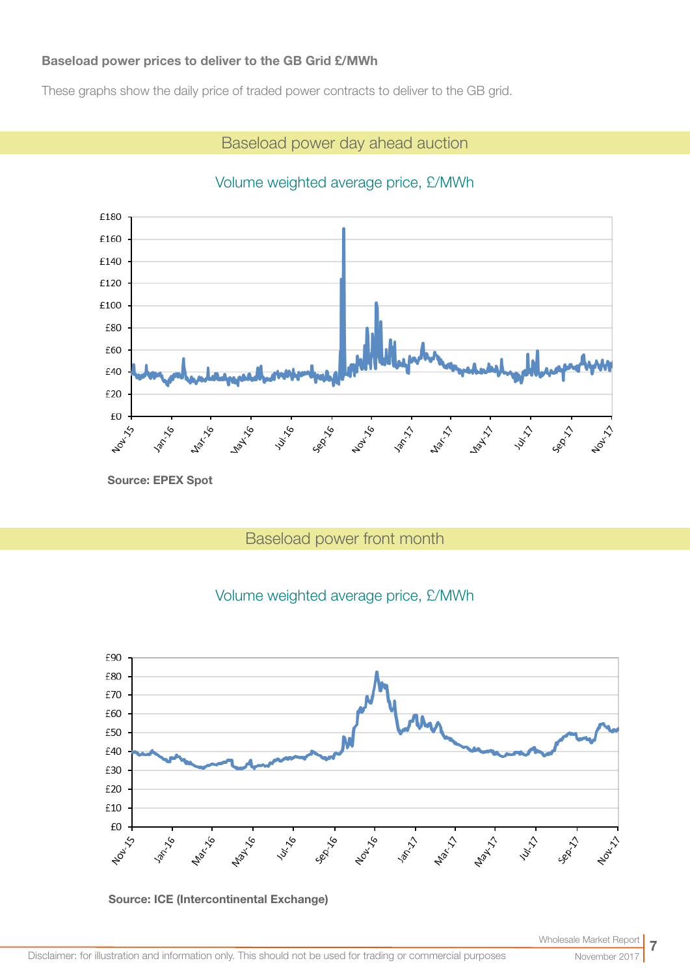#### Baseload power prices to deliver to the GB Grid £/MWh

These graphs show the daily price of traded power contracts to deliver to the GB grid.

## Baseload power day ahead auction

## Volume weighted average price, £/MWh



# Baseload power front month





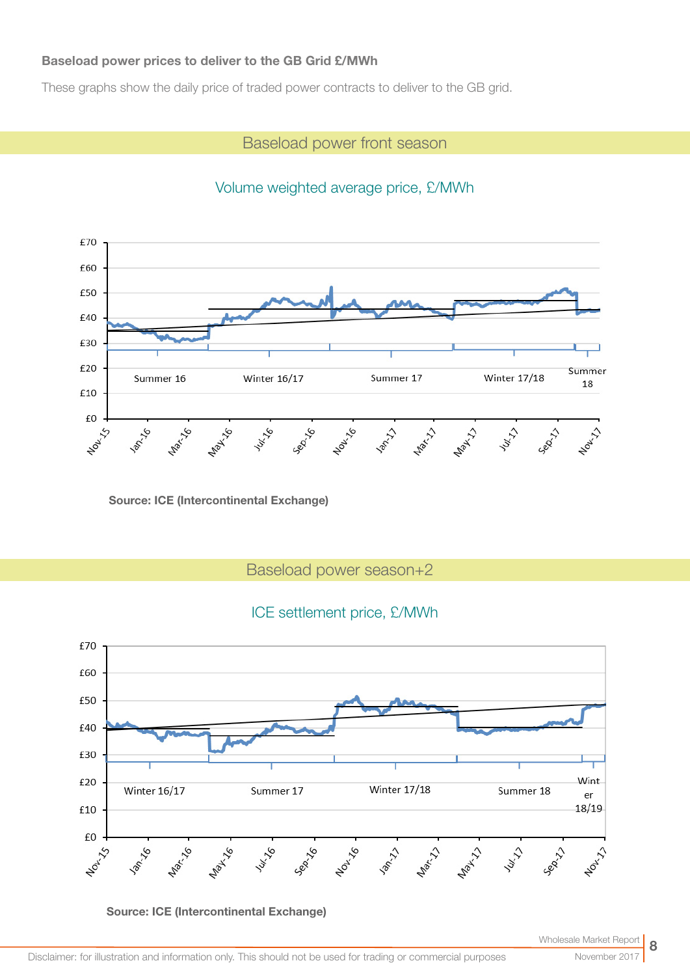#### Baseload power prices to deliver to the GB Grid £/MWh

These graphs show the daily price of traded power contracts to deliver to the GB grid.

## Baseload power front season



## Volume weighted average price, £/MWh

Source: ICE (Intercontinental Exchange)

Baseload power season+2

## ICE settlement price, £/MWh



Source: ICE (Intercontinental Exchange)

November 2017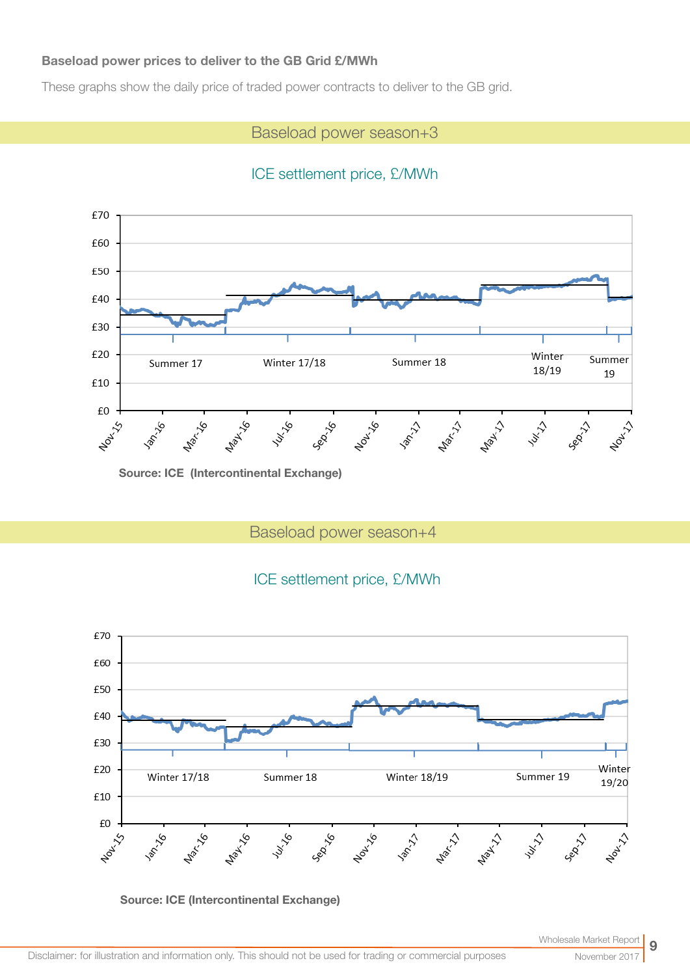#### Baseload power prices to deliver to the GB Grid £/MWh

These graphs show the daily price of traded power contracts to deliver to the GB grid.

## Baseload power season+3

# ICE settlement price, £/MWh



Source: ICE (Intercontinental Exchange)

Baseload power season+4

## ICE settlement price, £/MWh



Source: ICE (Intercontinental Exchange)

November 20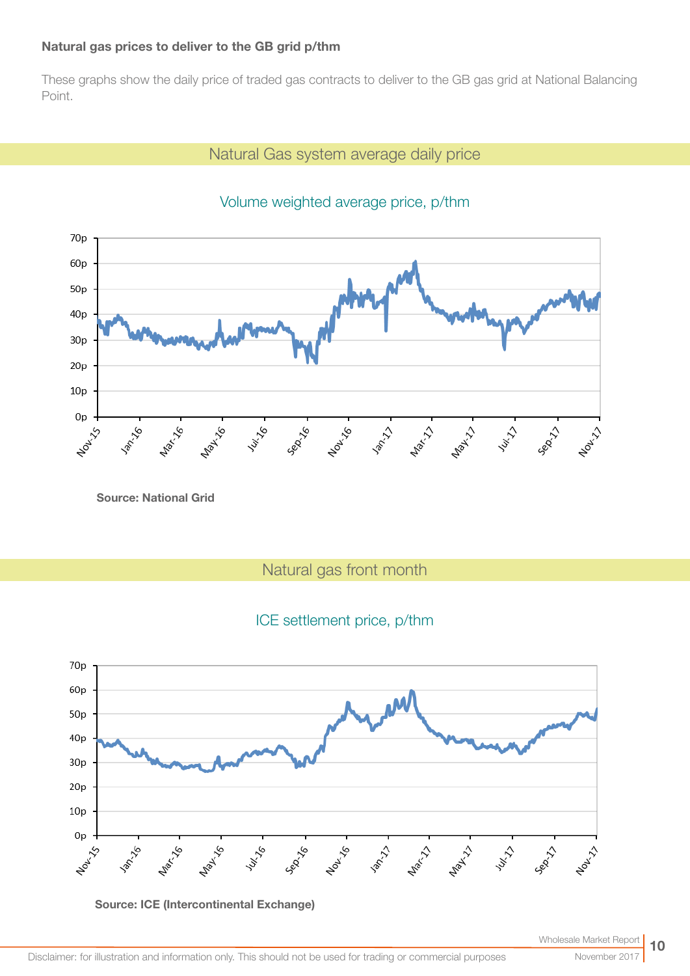#### Natural gas prices to deliver to the GB grid p/thm

These graphs show the daily price of traded gas contracts to deliver to the GB gas grid at National Balancing Point.

## Natural Gas system average daily price



# Volume weighted average price, p/thm

Source: National Grid

Natural gas front month

## ICE settlement price, p/thm



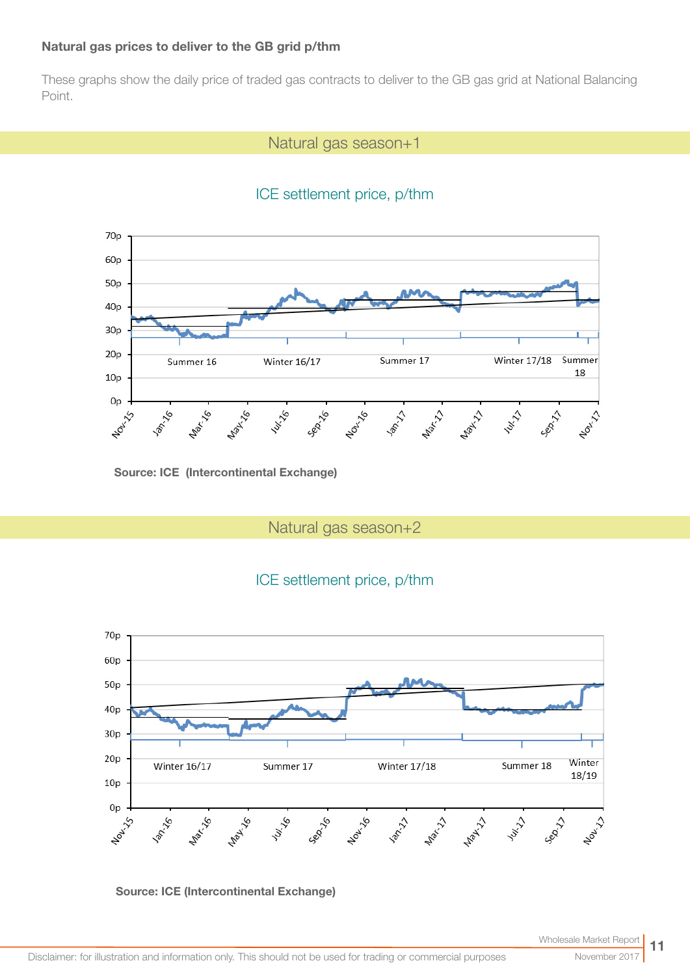#### Natural gas prices to deliver to the GB grid p/thm

These graphs show the daily price of traded gas contracts to deliver to the GB gas grid at National Balancing Point.

### Natural gas season+1

## ICE settlement price, p/thm



Source: ICE (Intercontinental Exchange)

Natural gas season+2

## ICE settlement price, p/thm



Source: ICE (Intercontinental Exchange)